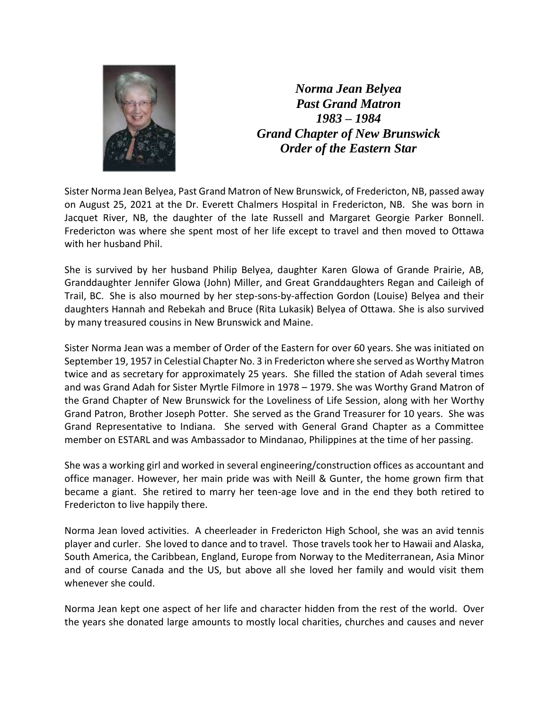

*Norma Jean Belyea Past Grand Matron 1983 – 1984 Grand Chapter of New Brunswick Order of the Eastern Star*

Sister Norma Jean Belyea, Past Grand Matron of New Brunswick, of Fredericton, NB, passed away on August 25, 2021 at the Dr. Everett Chalmers Hospital in Fredericton, NB. She was born in Jacquet River, NB, the daughter of the late Russell and Margaret Georgie Parker Bonnell. Fredericton was where she spent most of her life except to travel and then moved to Ottawa with her husband Phil.

She is survived by her husband Philip Belyea, daughter Karen Glowa of Grande Prairie, AB, Granddaughter Jennifer Glowa (John) Miller, and Great Granddaughters Regan and Caileigh of Trail, BC. She is also mourned by her step-sons-by-affection Gordon (Louise) Belyea and their daughters Hannah and Rebekah and Bruce (Rita Lukasik) Belyea of Ottawa. She is also survived by many treasured cousins in New Brunswick and Maine.

Sister Norma Jean was a member of Order of the Eastern for over 60 years. She was initiated on September 19, 1957 in Celestial Chapter No. 3 in Fredericton where she served as Worthy Matron twice and as secretary for approximately 25 years. She filled the station of Adah several times and was Grand Adah for Sister Myrtle Filmore in 1978 – 1979. She was Worthy Grand Matron of the Grand Chapter of New Brunswick for the Loveliness of Life Session, along with her Worthy Grand Patron, Brother Joseph Potter. She served as the Grand Treasurer for 10 years. She was Grand Representative to Indiana. She served with General Grand Chapter as a Committee member on ESTARL and was Ambassador to Mindanao, Philippines at the time of her passing.

She was a working girl and worked in several engineering/construction offices as accountant and office manager. However, her main pride was with Neill & Gunter, the home grown firm that became a giant. She retired to marry her teen-age love and in the end they both retired to Fredericton to live happily there.

Norma Jean loved activities. A cheerleader in Fredericton High School, she was an avid tennis player and curler. She loved to dance and to travel. Those travels took her to Hawaii and Alaska, South America, the Caribbean, England, Europe from Norway to the Mediterranean, Asia Minor and of course Canada and the US, but above all she loved her family and would visit them whenever she could.

Norma Jean kept one aspect of her life and character hidden from the rest of the world. Over the years she donated large amounts to mostly local charities, churches and causes and never